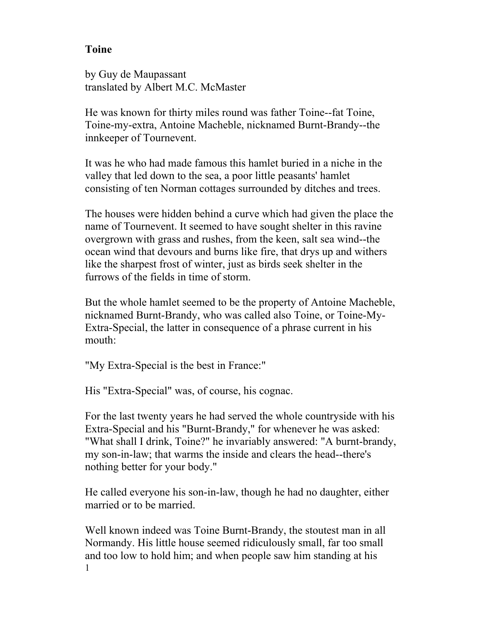## **Toine**

by Guy de Maupassant translated by Albert M.C. McMaster

He was known for thirty miles round was father Toine--fat Toine, Toine-my-extra, Antoine Macheble, nicknamed Burnt-Brandy--the innkeeper of Tournevent.

It was he who had made famous this hamlet buried in a niche in the valley that led down to the sea, a poor little peasants' hamlet consisting of ten Norman cottages surrounded by ditches and trees.

The houses were hidden behind a curve which had given the place the name of Tournevent. It seemed to have sought shelter in this ravine overgrown with grass and rushes, from the keen, salt sea wind--the ocean wind that devours and burns like fire, that drys up and withers like the sharpest frost of winter, just as birds seek shelter in the furrows of the fields in time of storm.

But the whole hamlet seemed to be the property of Antoine Macheble, nicknamed Burnt-Brandy, who was called also Toine, or Toine-My-Extra-Special, the latter in consequence of a phrase current in his mouth:

"My Extra-Special is the best in France:"

His "Extra-Special" was, of course, his cognac.

For the last twenty years he had served the whole countryside with his Extra-Special and his "Burnt-Brandy," for whenever he was asked: "What shall I drink, Toine?" he invariably answered: "A burnt-brandy, my son-in-law; that warms the inside and clears the head--there's nothing better for your body."

He called everyone his son-in-law, though he had no daughter, either married or to be married.

1 Well known indeed was Toine Burnt-Brandy, the stoutest man in all Normandy. His little house seemed ridiculously small, far too small and too low to hold him; and when people saw him standing at his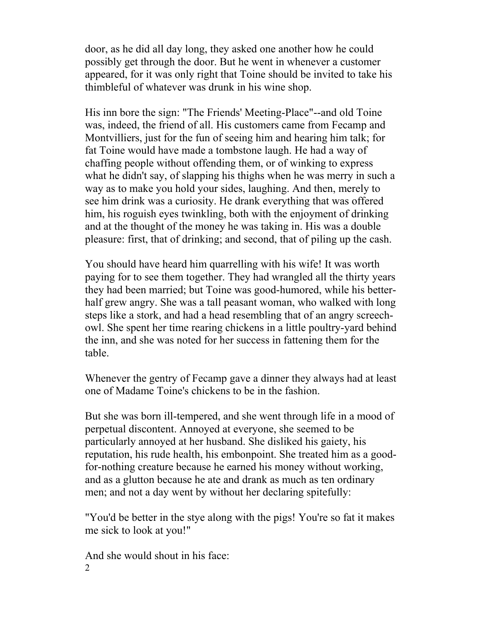door, as he did all day long, they asked one another how he could possibly get through the door. But he went in whenever a customer appeared, for it was only right that Toine should be invited to take his thimbleful of whatever was drunk in his wine shop.

His inn bore the sign: "The Friends' Meeting-Place"--and old Toine was, indeed, the friend of all. His customers came from Fecamp and Montvilliers, just for the fun of seeing him and hearing him talk; for fat Toine would have made a tombstone laugh. He had a way of chaffing people without offending them, or of winking to express what he didn't say, of slapping his thighs when he was merry in such a way as to make you hold your sides, laughing. And then, merely to see him drink was a curiosity. He drank everything that was offered him, his roguish eyes twinkling, both with the enjoyment of drinking and at the thought of the money he was taking in. His was a double pleasure: first, that of drinking; and second, that of piling up the cash.

You should have heard him quarrelling with his wife! It was worth paying for to see them together. They had wrangled all the thirty years they had been married; but Toine was good-humored, while his betterhalf grew angry. She was a tall peasant woman, who walked with long steps like a stork, and had a head resembling that of an angry screechowl. She spent her time rearing chickens in a little poultry-yard behind the inn, and she was noted for her success in fattening them for the table.

Whenever the gentry of Fecamp gave a dinner they always had at least one of Madame Toine's chickens to be in the fashion.

But she was born ill-tempered, and she went through life in a mood of perpetual discontent. Annoyed at everyone, she seemed to be particularly annoyed at her husband. She disliked his gaiety, his reputation, his rude health, his embonpoint. She treated him as a goodfor-nothing creature because he earned his money without working, and as a glutton because he ate and drank as much as ten ordinary men; and not a day went by without her declaring spitefully:

"You'd be better in the stye along with the pigs! You're so fat it makes me sick to look at you!"

2 And she would shout in his face: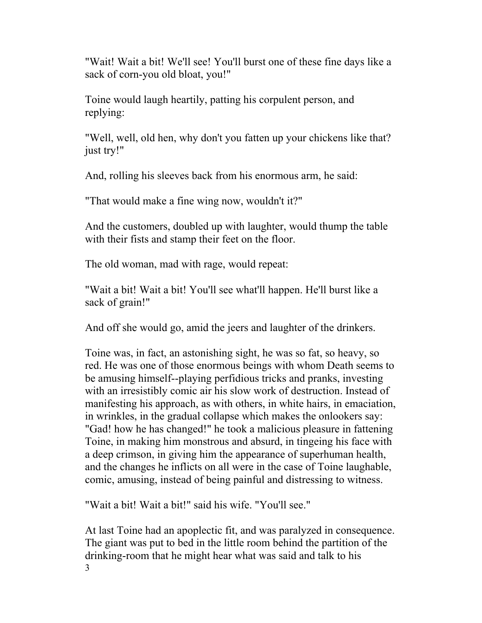"Wait! Wait a bit! We'll see! You'll burst one of these fine days like a sack of corn-you old bloat, you!"

Toine would laugh heartily, patting his corpulent person, and replying:

"Well, well, old hen, why don't you fatten up your chickens like that? just try!"

And, rolling his sleeves back from his enormous arm, he said:

"That would make a fine wing now, wouldn't it?"

And the customers, doubled up with laughter, would thump the table with their fists and stamp their feet on the floor.

The old woman, mad with rage, would repeat:

"Wait a bit! Wait a bit! You'll see what'll happen. He'll burst like a sack of grain!"

And off she would go, amid the jeers and laughter of the drinkers.

Toine was, in fact, an astonishing sight, he was so fat, so heavy, so red. He was one of those enormous beings with whom Death seems to be amusing himself--playing perfidious tricks and pranks, investing with an irresistibly comic air his slow work of destruction. Instead of manifesting his approach, as with others, in white hairs, in emaciation, in wrinkles, in the gradual collapse which makes the onlookers say: "Gad! how he has changed!" he took a malicious pleasure in fattening Toine, in making him monstrous and absurd, in tingeing his face with a deep crimson, in giving him the appearance of superhuman health, and the changes he inflicts on all were in the case of Toine laughable, comic, amusing, instead of being painful and distressing to witness.

"Wait a bit! Wait a bit!" said his wife. "You'll see."

3 At last Toine had an apoplectic fit, and was paralyzed in consequence. The giant was put to bed in the little room behind the partition of the drinking-room that he might hear what was said and talk to his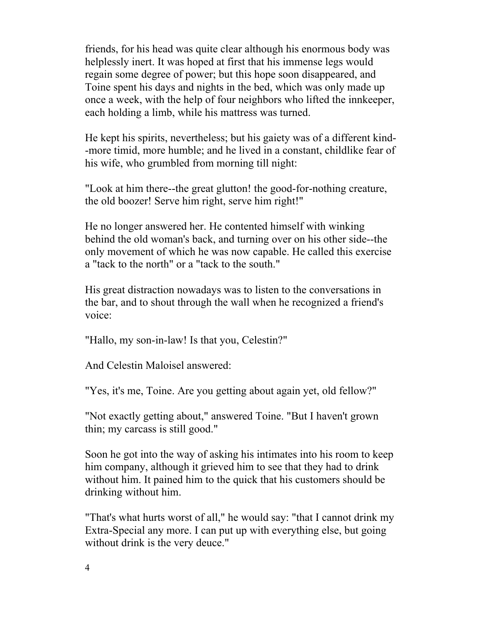friends, for his head was quite clear although his enormous body was helplessly inert. It was hoped at first that his immense legs would regain some degree of power; but this hope soon disappeared, and Toine spent his days and nights in the bed, which was only made up once a week, with the help of four neighbors who lifted the innkeeper, each holding a limb, while his mattress was turned.

He kept his spirits, nevertheless; but his gaiety was of a different kind- -more timid, more humble; and he lived in a constant, childlike fear of his wife, who grumbled from morning till night:

"Look at him there--the great glutton! the good-for-nothing creature, the old boozer! Serve him right, serve him right!"

He no longer answered her. He contented himself with winking behind the old woman's back, and turning over on his other side--the only movement of which he was now capable. He called this exercise a "tack to the north" or a "tack to the south."

His great distraction nowadays was to listen to the conversations in the bar, and to shout through the wall when he recognized a friend's voice:

"Hallo, my son-in-law! Is that you, Celestin?"

And Celestin Maloisel answered:

"Yes, it's me, Toine. Are you getting about again yet, old fellow?"

"Not exactly getting about," answered Toine. "But I haven't grown thin; my carcass is still good."

Soon he got into the way of asking his intimates into his room to keep him company, although it grieved him to see that they had to drink without him. It pained him to the quick that his customers should be drinking without him.

"That's what hurts worst of all," he would say: "that I cannot drink my Extra-Special any more. I can put up with everything else, but going without drink is the very deuce."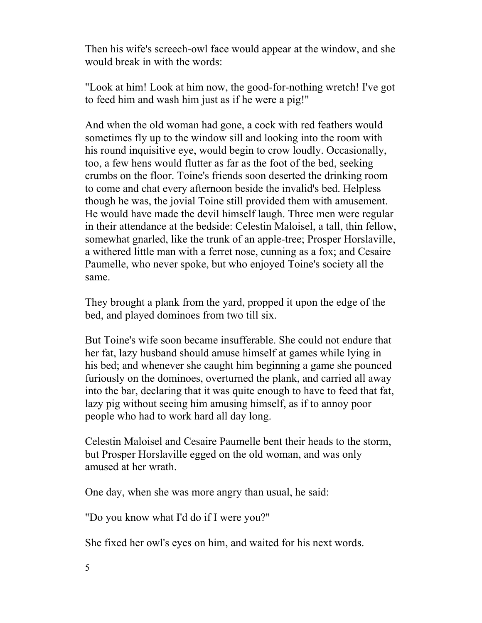Then his wife's screech-owl face would appear at the window, and she would break in with the words:

"Look at him! Look at him now, the good-for-nothing wretch! I've got to feed him and wash him just as if he were a pig!"

And when the old woman had gone, a cock with red feathers would sometimes fly up to the window sill and looking into the room with his round inquisitive eye, would begin to crow loudly. Occasionally, too, a few hens would flutter as far as the foot of the bed, seeking crumbs on the floor. Toine's friends soon deserted the drinking room to come and chat every afternoon beside the invalid's bed. Helpless though he was, the jovial Toine still provided them with amusement. He would have made the devil himself laugh. Three men were regular in their attendance at the bedside: Celestin Maloisel, a tall, thin fellow, somewhat gnarled, like the trunk of an apple-tree; Prosper Horslaville, a withered little man with a ferret nose, cunning as a fox; and Cesaire Paumelle, who never spoke, but who enjoyed Toine's society all the same.

They brought a plank from the yard, propped it upon the edge of the bed, and played dominoes from two till six.

But Toine's wife soon became insufferable. She could not endure that her fat, lazy husband should amuse himself at games while lying in his bed; and whenever she caught him beginning a game she pounced furiously on the dominoes, overturned the plank, and carried all away into the bar, declaring that it was quite enough to have to feed that fat, lazy pig without seeing him amusing himself, as if to annoy poor people who had to work hard all day long.

Celestin Maloisel and Cesaire Paumelle bent their heads to the storm, but Prosper Horslaville egged on the old woman, and was only amused at her wrath.

One day, when she was more angry than usual, he said:

"Do you know what I'd do if I were you?"

She fixed her owl's eyes on him, and waited for his next words.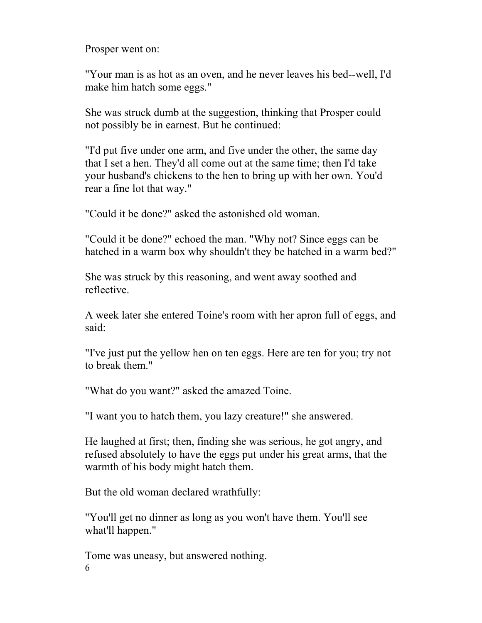Prosper went on:

"Your man is as hot as an oven, and he never leaves his bed--well, I'd make him hatch some eggs."

She was struck dumb at the suggestion, thinking that Prosper could not possibly be in earnest. But he continued:

"I'd put five under one arm, and five under the other, the same day that I set a hen. They'd all come out at the same time; then I'd take your husband's chickens to the hen to bring up with her own. You'd rear a fine lot that way."

"Could it be done?" asked the astonished old woman.

"Could it be done?" echoed the man. "Why not? Since eggs can be hatched in a warm box why shouldn't they be hatched in a warm bed?"

She was struck by this reasoning, and went away soothed and reflective.

A week later she entered Toine's room with her apron full of eggs, and said:

"I've just put the yellow hen on ten eggs. Here are ten for you; try not to break them."

"What do you want?" asked the amazed Toine.

"I want you to hatch them, you lazy creature!" she answered.

He laughed at first; then, finding she was serious, he got angry, and refused absolutely to have the eggs put under his great arms, that the warmth of his body might hatch them.

But the old woman declared wrathfully:

"You'll get no dinner as long as you won't have them. You'll see what'll happen."

6 Tome was uneasy, but answered nothing.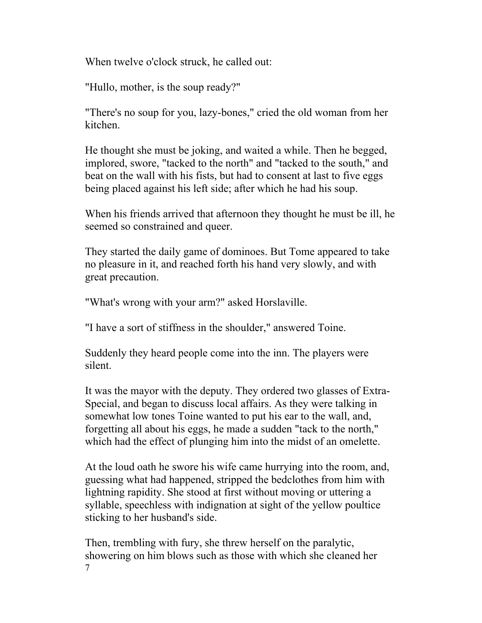When twelve o'clock struck, he called out:

"Hullo, mother, is the soup ready?"

"There's no soup for you, lazy-bones," cried the old woman from her kitchen.

He thought she must be joking, and waited a while. Then he begged, implored, swore, "tacked to the north" and "tacked to the south," and beat on the wall with his fists, but had to consent at last to five eggs being placed against his left side; after which he had his soup.

When his friends arrived that afternoon they thought he must be ill, he seemed so constrained and queer.

They started the daily game of dominoes. But Tome appeared to take no pleasure in it, and reached forth his hand very slowly, and with great precaution.

"What's wrong with your arm?" asked Horslaville.

"I have a sort of stiffness in the shoulder," answered Toine.

Suddenly they heard people come into the inn. The players were silent.

It was the mayor with the deputy. They ordered two glasses of Extra-Special, and began to discuss local affairs. As they were talking in somewhat low tones Toine wanted to put his ear to the wall, and, forgetting all about his eggs, he made a sudden "tack to the north," which had the effect of plunging him into the midst of an omelette.

At the loud oath he swore his wife came hurrying into the room, and, guessing what had happened, stripped the bedclothes from him with lightning rapidity. She stood at first without moving or uttering a syllable, speechless with indignation at sight of the yellow poultice sticking to her husband's side.

7 Then, trembling with fury, she threw herself on the paralytic, showering on him blows such as those with which she cleaned her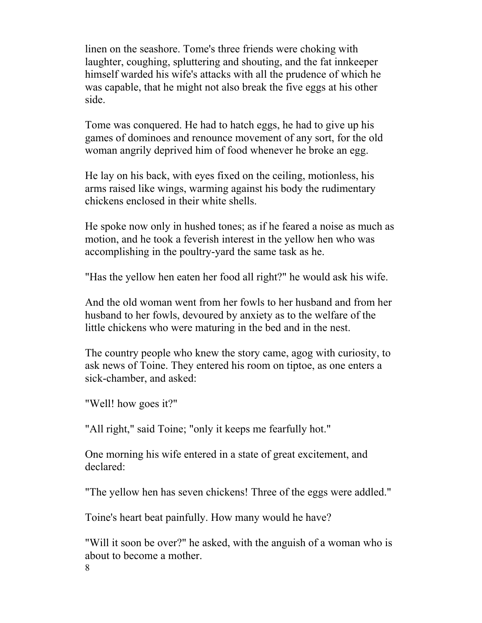linen on the seashore. Tome's three friends were choking with laughter, coughing, spluttering and shouting, and the fat innkeeper himself warded his wife's attacks with all the prudence of which he was capable, that he might not also break the five eggs at his other side.

Tome was conquered. He had to hatch eggs, he had to give up his games of dominoes and renounce movement of any sort, for the old woman angrily deprived him of food whenever he broke an egg.

He lay on his back, with eyes fixed on the ceiling, motionless, his arms raised like wings, warming against his body the rudimentary chickens enclosed in their white shells.

He spoke now only in hushed tones; as if he feared a noise as much as motion, and he took a feverish interest in the yellow hen who was accomplishing in the poultry-yard the same task as he.

"Has the yellow hen eaten her food all right?" he would ask his wife.

And the old woman went from her fowls to her husband and from her husband to her fowls, devoured by anxiety as to the welfare of the little chickens who were maturing in the bed and in the nest.

The country people who knew the story came, agog with curiosity, to ask news of Toine. They entered his room on tiptoe, as one enters a sick-chamber, and asked:

"Well! how goes it?"

"All right," said Toine; "only it keeps me fearfully hot."

One morning his wife entered in a state of great excitement, and declared:

"The yellow hen has seven chickens! Three of the eggs were addled."

Toine's heart beat painfully. How many would he have?

8 "Will it soon be over?" he asked, with the anguish of a woman who is about to become a mother.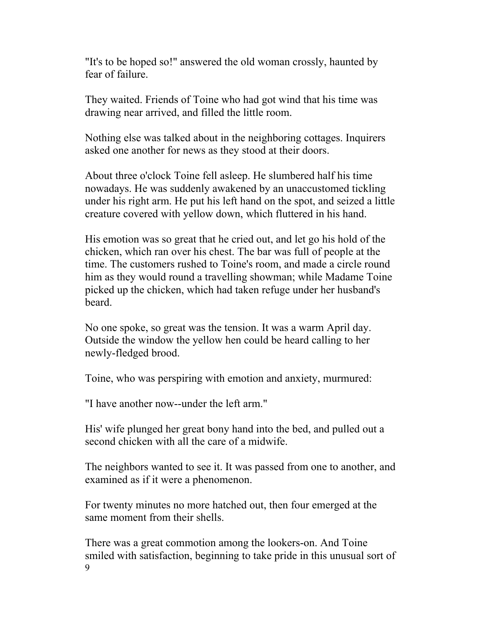"It's to be hoped so!" answered the old woman crossly, haunted by fear of failure.

They waited. Friends of Toine who had got wind that his time was drawing near arrived, and filled the little room.

Nothing else was talked about in the neighboring cottages. Inquirers asked one another for news as they stood at their doors.

About three o'clock Toine fell asleep. He slumbered half his time nowadays. He was suddenly awakened by an unaccustomed tickling under his right arm. He put his left hand on the spot, and seized a little creature covered with yellow down, which fluttered in his hand.

His emotion was so great that he cried out, and let go his hold of the chicken, which ran over his chest. The bar was full of people at the time. The customers rushed to Toine's room, and made a circle round him as they would round a travelling showman; while Madame Toine picked up the chicken, which had taken refuge under her husband's beard.

No one spoke, so great was the tension. It was a warm April day. Outside the window the yellow hen could be heard calling to her newly-fledged brood.

Toine, who was perspiring with emotion and anxiety, murmured:

"I have another now--under the left arm."

His' wife plunged her great bony hand into the bed, and pulled out a second chicken with all the care of a midwife.

The neighbors wanted to see it. It was passed from one to another, and examined as if it were a phenomenon.

For twenty minutes no more hatched out, then four emerged at the same moment from their shells.

9 There was a great commotion among the lookers-on. And Toine smiled with satisfaction, beginning to take pride in this unusual sort of